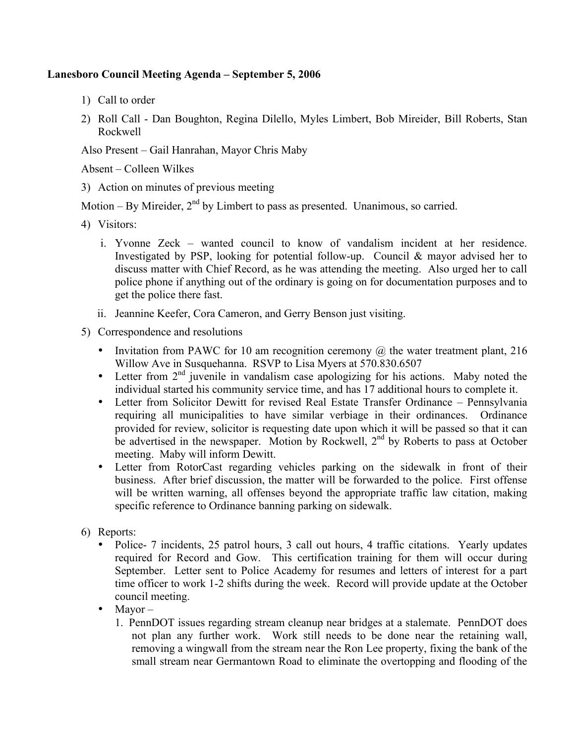## **Lanesboro Council Meeting Agenda – September 5, 2006**

- 1) Call to order
- 2) Roll Call Dan Boughton, Regina Dilello, Myles Limbert, Bob Mireider, Bill Roberts, Stan Rockwell

Also Present – Gail Hanrahan, Mayor Chris Maby

Absent – Colleen Wilkes

3) Action on minutes of previous meeting

Motion – By Mireider,  $2<sup>nd</sup>$  by Limbert to pass as presented. Unanimous, so carried.

- 4) Visitors:
	- i. Yvonne Zeck wanted council to know of vandalism incident at her residence. Investigated by PSP, looking for potential follow-up. Council & mayor advised her to discuss matter with Chief Record, as he was attending the meeting. Also urged her to call police phone if anything out of the ordinary is going on for documentation purposes and to get the police there fast.
	- ii. Jeannine Keefer, Cora Cameron, and Gerry Benson just visiting.
- 5) Correspondence and resolutions
	- Invitation from PAWC for 10 am recognition ceremony  $\omega$  the water treatment plant, 216 Willow Ave in Susquehanna. RSVP to Lisa Myers at 570.830.6507
	- Letter from  $2<sup>nd</sup>$  juvenile in vandalism case apologizing for his actions. Maby noted the individual started his community service time, and has 17 additional hours to complete it.
	- Letter from Solicitor Dewitt for revised Real Estate Transfer Ordinance Pennsylvania requiring all municipalities to have similar verbiage in their ordinances. Ordinance provided for review, solicitor is requesting date upon which it will be passed so that it can be advertised in the newspaper. Motion by Rockwell, 2<sup>nd</sup> by Roberts to pass at October meeting. Maby will inform Dewitt.
	- Letter from RotorCast regarding vehicles parking on the sidewalk in front of their business. After brief discussion, the matter will be forwarded to the police. First offense will be written warning, all offenses beyond the appropriate traffic law citation, making specific reference to Ordinance banning parking on sidewalk.
- 6) Reports:
	- Police- 7 incidents, 25 patrol hours, 3 call out hours, 4 traffic citations. Yearly updates required for Record and Gow. This certification training for them will occur during September. Letter sent to Police Academy for resumes and letters of interest for a part time officer to work 1-2 shifts during the week. Record will provide update at the October council meeting.
	- Mayor
		- 1. PennDOT issues regarding stream cleanup near bridges at a stalemate. PennDOT does not plan any further work. Work still needs to be done near the retaining wall, removing a wingwall from the stream near the Ron Lee property, fixing the bank of the small stream near Germantown Road to eliminate the overtopping and flooding of the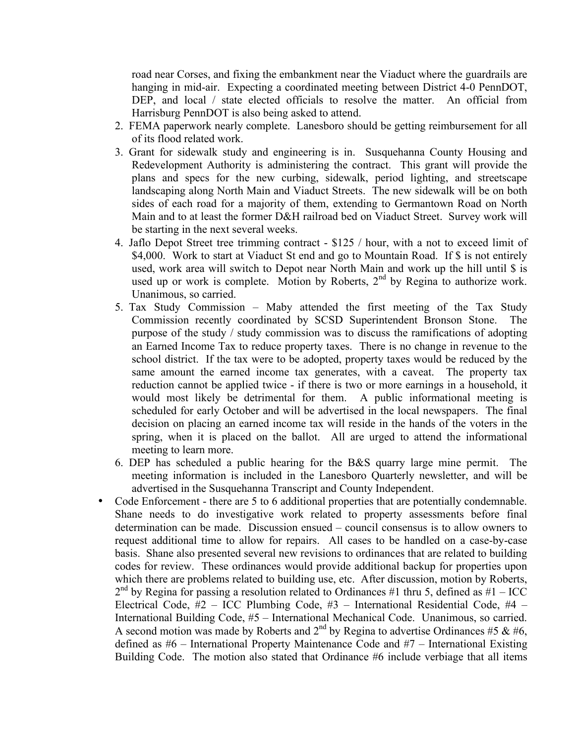road near Corses, and fixing the embankment near the Viaduct where the guardrails are hanging in mid-air. Expecting a coordinated meeting between District 4-0 PennDOT, DEP, and local / state elected officials to resolve the matter. An official from Harrisburg PennDOT is also being asked to attend.

- 2. FEMA paperwork nearly complete. Lanesboro should be getting reimbursement for all of its flood related work.
- 3. Grant for sidewalk study and engineering is in. Susquehanna County Housing and Redevelopment Authority is administering the contract. This grant will provide the plans and specs for the new curbing, sidewalk, period lighting, and streetscape landscaping along North Main and Viaduct Streets. The new sidewalk will be on both sides of each road for a majority of them, extending to Germantown Road on North Main and to at least the former D&H railroad bed on Viaduct Street. Survey work will be starting in the next several weeks.
- 4. Jaflo Depot Street tree trimming contract \$125 / hour, with a not to exceed limit of \$4,000. Work to start at Viaduct St end and go to Mountain Road. If \$ is not entirely used, work area will switch to Depot near North Main and work up the hill until \$ is used up or work is complete. Motion by Roberts,  $2<sup>nd</sup>$  by Regina to authorize work. Unanimous, so carried.
- 5. Tax Study Commission Maby attended the first meeting of the Tax Study Commission recently coordinated by SCSD Superintendent Bronson Stone. The purpose of the study / study commission was to discuss the ramifications of adopting an Earned Income Tax to reduce property taxes. There is no change in revenue to the school district. If the tax were to be adopted, property taxes would be reduced by the same amount the earned income tax generates, with a caveat. The property tax reduction cannot be applied twice - if there is two or more earnings in a household, it would most likely be detrimental for them. A public informational meeting is scheduled for early October and will be advertised in the local newspapers. The final decision on placing an earned income tax will reside in the hands of the voters in the spring, when it is placed on the ballot. All are urged to attend the informational meeting to learn more.
- 6. DEP has scheduled a public hearing for the B&S quarry large mine permit. The meeting information is included in the Lanesboro Quarterly newsletter, and will be advertised in the Susquehanna Transcript and County Independent.
- Code Enforcement there are 5 to 6 additional properties that are potentially condemnable. Shane needs to do investigative work related to property assessments before final determination can be made. Discussion ensued – council consensus is to allow owners to request additional time to allow for repairs. All cases to be handled on a case-by-case basis. Shane also presented several new revisions to ordinances that are related to building codes for review. These ordinances would provide additional backup for properties upon which there are problems related to building use, etc. After discussion, motion by Roberts,  $2<sup>nd</sup>$  by Regina for passing a resolution related to Ordinances #1 thru 5, defined as #1 – ICC Electrical Code, #2 – ICC Plumbing Code, #3 – International Residential Code, #4 – International Building Code, #5 – International Mechanical Code. Unanimous, so carried. A second motion was made by Roberts and  $2^{nd}$  by Regina to advertise Ordinances #5 & #6, defined as #6 – International Property Maintenance Code and #7 – International Existing Building Code. The motion also stated that Ordinance #6 include verbiage that all items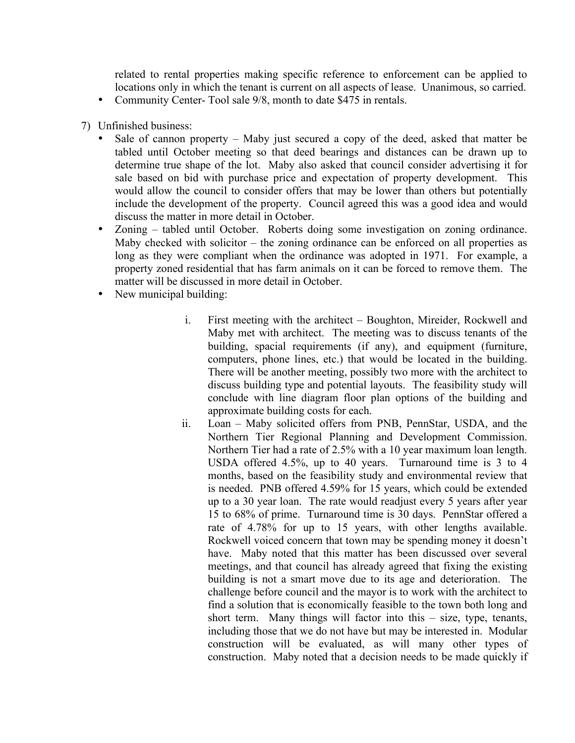related to rental properties making specific reference to enforcement can be applied to locations only in which the tenant is current on all aspects of lease. Unanimous, so carried.

- Community Center-Tool sale 9/8, month to date \$475 in rentals.
- 7) Unfinished business:
	- Sale of cannon property  $-$  Maby just secured a copy of the deed, asked that matter be tabled until October meeting so that deed bearings and distances can be drawn up to determine true shape of the lot. Maby also asked that council consider advertising it for sale based on bid with purchase price and expectation of property development. This would allow the council to consider offers that may be lower than others but potentially include the development of the property. Council agreed this was a good idea and would discuss the matter in more detail in October.
	- Zoning tabled until October. Roberts doing some investigation on zoning ordinance. Maby checked with solicitor – the zoning ordinance can be enforced on all properties as long as they were compliant when the ordinance was adopted in 1971. For example, a property zoned residential that has farm animals on it can be forced to remove them. The matter will be discussed in more detail in October.
	- New municipal building:
		- i. First meeting with the architect Boughton, Mireider, Rockwell and Maby met with architect. The meeting was to discuss tenants of the building, spacial requirements (if any), and equipment (furniture, computers, phone lines, etc.) that would be located in the building. There will be another meeting, possibly two more with the architect to discuss building type and potential layouts. The feasibility study will conclude with line diagram floor plan options of the building and approximate building costs for each.
		- ii. Loan Maby solicited offers from PNB, PennStar, USDA, and the Northern Tier Regional Planning and Development Commission. Northern Tier had a rate of 2.5% with a 10 year maximum loan length. USDA offered 4.5%, up to 40 years. Turnaround time is 3 to 4 months, based on the feasibility study and environmental review that is needed. PNB offered 4.59% for 15 years, which could be extended up to a 30 year loan. The rate would readjust every 5 years after year 15 to 68% of prime. Turnaround time is 30 days. PennStar offered a rate of 4.78% for up to 15 years, with other lengths available. Rockwell voiced concern that town may be spending money it doesn't have. Maby noted that this matter has been discussed over several meetings, and that council has already agreed that fixing the existing building is not a smart move due to its age and deterioration. The challenge before council and the mayor is to work with the architect to find a solution that is economically feasible to the town both long and short term. Many things will factor into this – size, type, tenants, including those that we do not have but may be interested in. Modular construction will be evaluated, as will many other types of construction. Maby noted that a decision needs to be made quickly if